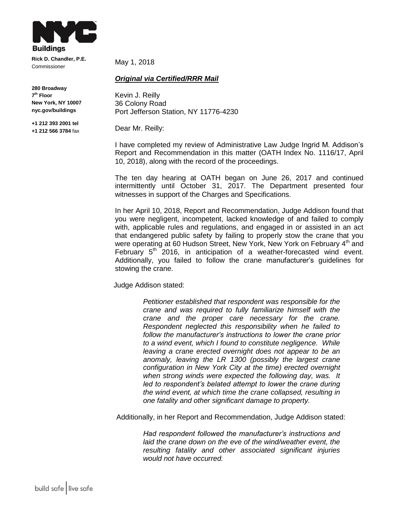

**Rick D. Chandler, P.E.** Commissioner

**280 Broadway 7 th Floor New York, NY 10007 nyc.gov/buildings**

**+1 212 393 2001 tel +1 212 566 3784** fax May 1, 2018

## *Original via Certified/RRR Mail*

Kevin J. Reilly 36 Colony Road Port Jefferson Station, NY 11776-4230

Dear Mr. Reilly:

I have completed my review of Administrative Law Judge Ingrid M. Addison's Report and Recommendation in this matter (OATH Index No. 1116/17, April 10, 2018), along with the record of the proceedings.

The ten day hearing at OATH began on June 26, 2017 and continued intermittently until October 31, 2017. The Department presented four witnesses in support of the Charges and Specifications.

In her April 10, 2018, Report and Recommendation, Judge Addison found that you were negligent, incompetent, lacked knowledge of and failed to comply with, applicable rules and regulations, and engaged in or assisted in an act that endangered public safety by failing to properly stow the crane that you were operating at 60 Hudson Street, New York, New York on February 4<sup>th</sup> and February  $5<sup>th</sup>$  2016, in anticipation of a weather-forecasted wind event. Additionally, you failed to follow the crane manufacturer's guidelines for stowing the crane.

Judge Addison stated:

*Petitioner established that respondent was responsible for the crane and was required to fully familiarize himself with the crane and the proper care necessary for the crane. Respondent neglected this responsibility when he failed to follow the manufacturer's instructions to lower the crane prior to a wind event, which I found to constitute negligence. While leaving a crane erected overnight does not appear to be an anomaly, leaving the LR 1300 (possibly the largest crane configuration in New York City at the time) erected overnight when strong winds were expected the following day, was. It led to respondent's belated attempt to lower the crane during the wind event, at which time the crane collapsed, resulting in one fatality and other significant damage to property.*

Additionally, in her Report and Recommendation, Judge Addison stated:

*Had respondent followed the manufacturer's instructions and laid the crane down on the eve of the wind/weather event, the resulting fatality and other associated significant injuries would not have occurred.*